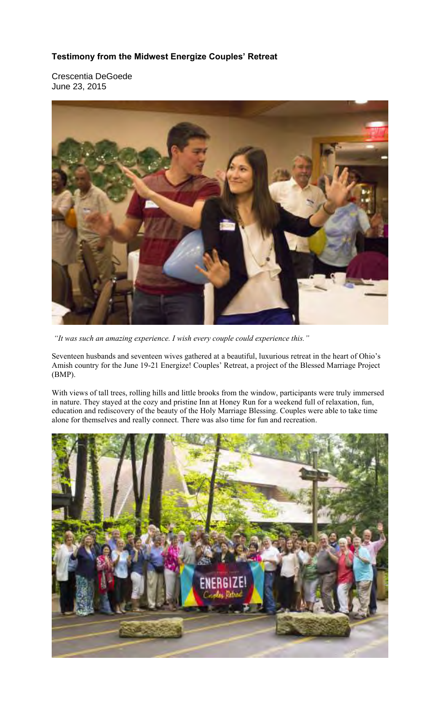## **Testimony from the Midwest Energize Couples' Retreat**

Crescentia DeGoede June 23, 2015



 *"It was such an amazing experience. I wish every couple could experience this."* 

Seventeen husbands and seventeen wives gathered at a beautiful, luxurious retreat in the heart of Ohio's Amish country for the June 19-21 Energize! Couples' Retreat, a project of the Blessed Marriage Project (BMP).

With views of tall trees, rolling hills and little brooks from the window, participants were truly immersed in nature. They stayed at the cozy and pristine Inn at Honey Run for a weekend full of relaxation, fun, education and rediscovery of the beauty of the Holy Marriage Blessing. Couples were able to take time alone for themselves and really connect. There was also time for fun and recreation.